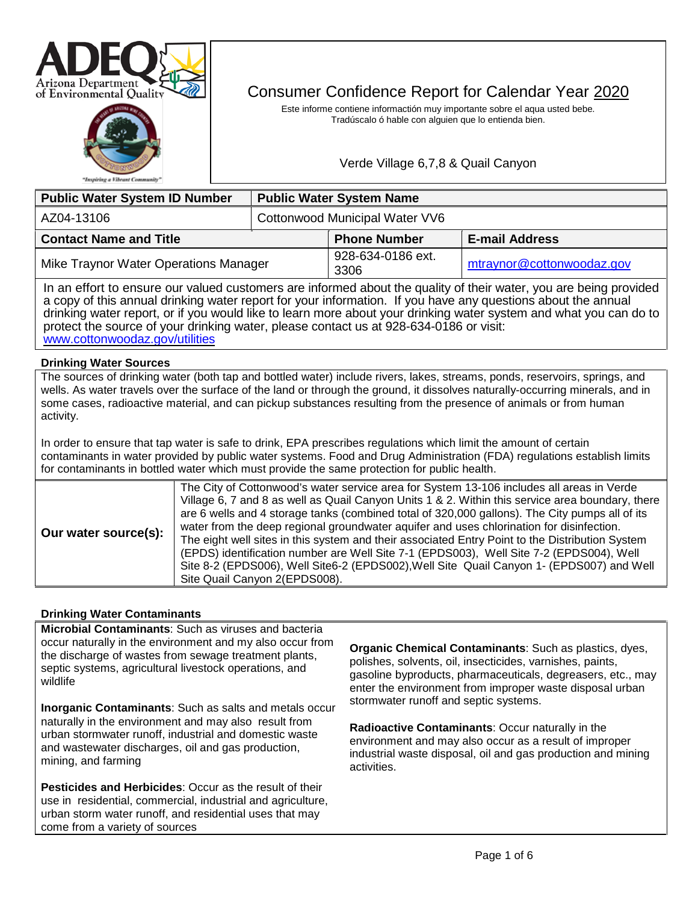



# Consumer Confidence Report for Calendar Year 2020

Este informe contiene informactión muy importante sobre el aqua usted bebe. Tradúscalo ó hable con alguien que lo entienda bien.

Verde Village 6,7,8 & Quail Canyon

| <b>Public Water System ID Number</b>  |                                | <b>Public Water System Name</b> |                           |  |  |
|---------------------------------------|--------------------------------|---------------------------------|---------------------------|--|--|
| AZ04-13106                            | Cottonwood Municipal Water VV6 |                                 |                           |  |  |
| <b>Contact Name and Title</b>         |                                | <b>Phone Number</b>             | <b>E-mail Address</b>     |  |  |
| Mike Traynor Water Operations Manager |                                | 928-634-0186 ext.<br>3306       | mtraynor@cottonwoodaz.gov |  |  |

In an effort to ensure our valued customers are informed about the quality of their water, you are being provided a copy of this annual drinking water report for your information. If you have any questions about the annual drinking water report, or if you would like to learn more about your drinking water system and [what you can do to](http://www.cottonwoodaz.gov/utilities)  protect the source of your drinking water, please contact us at 928-634-0186 or visit: [www.cottonwoodaz.gov/utilities](http://www.cottonwoodaz.gov/utilities)

#### **Drinking Water Sources**

The sources of drinking water (both tap and bottled water) include rivers, lakes, streams, ponds, reservoirs, springs, and wells. As water travels over the surface of the land or through the ground, it dissolves naturally-occurring minerals, and in some cases, radioactive material, and can pickup substances resulting from the presence of animals or from human activity.

In order to ensure that tap water is safe to drink, EPA prescribes regulations which limit the amount of certain contaminants in water provided by public water systems. Food and Drug Administration (FDA) regulations establish limits for contaminants in bottled water which must provide the same protection for public health.

|  | Our water source(s): | The City of Cottonwood's water service area for System 13-106 includes all areas in Verde<br>Village 6, 7 and 8 as well as Quail Canyon Units 1 & 2. Within this service area boundary, there<br>are 6 wells and 4 storage tanks (combined total of 320,000 gallons). The City pumps all of its<br>water from the deep regional groundwater aquifer and uses chlorination for disinfection.<br>The eight well sites in this system and their associated Entry Point to the Distribution System<br>(EPDS) identification number are Well Site 7-1 (EPDS003), Well Site 7-2 (EPDS004), Well<br>Site 8-2 (EPDS006), Well Site6-2 (EPDS002), Well Site Quail Canyon 1- (EPDS007) and Well<br>Site Quail Canyon 2(EPDS008). |
|--|----------------------|------------------------------------------------------------------------------------------------------------------------------------------------------------------------------------------------------------------------------------------------------------------------------------------------------------------------------------------------------------------------------------------------------------------------------------------------------------------------------------------------------------------------------------------------------------------------------------------------------------------------------------------------------------------------------------------------------------------------|
|--|----------------------|------------------------------------------------------------------------------------------------------------------------------------------------------------------------------------------------------------------------------------------------------------------------------------------------------------------------------------------------------------------------------------------------------------------------------------------------------------------------------------------------------------------------------------------------------------------------------------------------------------------------------------------------------------------------------------------------------------------------|

# **Drinking Water Contaminants**

**Microbial Contaminants**: Such as viruses and bacteria occur naturally in the environment and my also occur from the discharge of wastes from sewage treatment plants, septic systems, agricultural livestock operations, and wildlife

**Inorganic Contaminants**: Such as salts and metals occur naturally in the environment and may also result from urban stormwater runoff, industrial and domestic waste and wastewater discharges, oil and gas production, mining, and farming

**Pesticides and Herbicides**: Occur as the result of their use in residential, commercial, industrial and agriculture, urban storm water runoff, and residential uses that may come from a variety of sources

**Organic Chemical Contaminants**: Such as plastics, dyes, polishes, solvents, oil, insecticides, varnishes, paints, gasoline byproducts, pharmaceuticals, degreasers, etc., may enter the environment from improper waste disposal urban stormwater runoff and septic systems.

**Radioactive Contaminants**: Occur naturally in the environment and may also occur as a result of improper industrial waste disposal, oil and gas production and mining activities.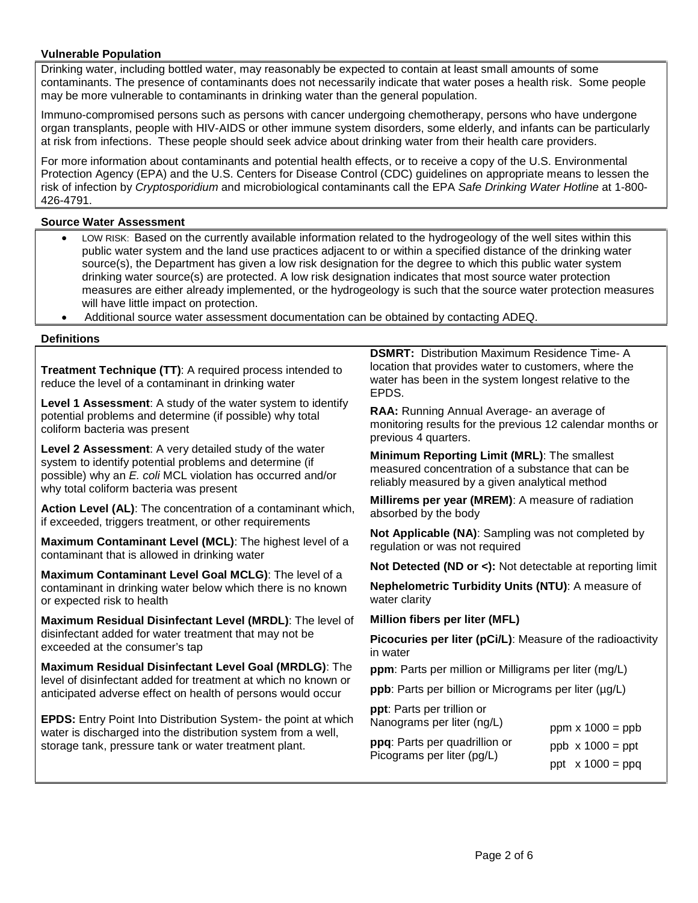## **Vulnerable Population**

Drinking water, including bottled water, may reasonably be expected to contain at least small amounts of some contaminants. The presence of contaminants does not necessarily indicate that water poses a health risk. Some people may be more vulnerable to contaminants in drinking water than the general population.

Immuno-compromised persons such as persons with cancer undergoing chemotherapy, persons who have undergone organ transplants, people with HIV-AIDS or other immune system disorders, some elderly, and infants can be particularly at risk from infections. These people should seek advice about drinking water from their health care providers.

For more information about contaminants and potential health effects, or to receive a copy of the U.S. Environmental Protection Agency (EPA) and the U.S. Centers for Disease Control (CDC) guidelines on appropriate means to lessen the risk of infection by *Cryptosporidium* and microbiological contaminants call the EPA *Safe Drinking Water Hotline* at 1-800- 426-4791.

#### **Source Water Assessment**

- LOW RISK: Based on the currently available information related to the hydrogeology of the well sites within this public water system and the land use practices adjacent to or within a specified distance of the drinking water source(s), the Department has given a low risk designation for the degree to which this public water system drinking water source(s) are protected. A low risk designation indicates that most source water protection measures are either already implemented, or the hydrogeology is such that the source water protection measures will have little impact on protection.
- Additional source water assessment documentation can be obtained by contacting ADEQ.

#### **Definitions**

**Treatment Technique (TT)**: A required process intended to reduce the level of a contaminant in drinking water

**Level 1 Assessment**: A study of the water system to identify potential problems and determine (if possible) why total coliform bacteria was present

**Level 2 Assessment**: A very detailed study of the water system to identify potential problems and determine (if possible) why an *E. coli* MCL violation has occurred and/or why total coliform bacteria was present

**Action Level (AL)**: The concentration of a contaminant which, if exceeded, triggers treatment, or other requirements

**Maximum Contaminant Level (MCL)**: The highest level of a contaminant that is allowed in drinking water

**Maximum Contaminant Level Goal MCLG)**: The level of a contaminant in drinking water below which there is no known or expected risk to health

**Maximum Residual Disinfectant Level (MRDL)**: The level of disinfectant added for water treatment that may not be exceeded at the consumer's tap

**Maximum Residual Disinfectant Level Goal (MRDLG)**: The level of disinfectant added for treatment at which no known or anticipated adverse effect on health of persons would occur

**EPDS:** Entry Point Into Distribution System- the point at which water is discharged into the distribution system from a well, storage tank, pressure tank or water treatment plant.

**DSMRT:** Distribution Maximum Residence Time- A location that provides water to customers, where the water has been in the system longest relative to the EPDS.

**RAA:** Running Annual Average- an average of monitoring results for the previous 12 calendar months or previous 4 quarters.

**Minimum Reporting Limit (MRL)**: The smallest measured concentration of a substance that can be reliably measured by a given analytical method

**Millirems per year (MREM)**: A measure of radiation absorbed by the body

**Not Applicable (NA)**: Sampling was not completed by regulation or was not required

**Not Detected (ND or <):** Not detectable at reporting limit

**Nephelometric Turbidity Units (NTU)**: A measure of water clarity

**Million fibers per liter (MFL)**

**Picocuries per liter (pCi/L)**: Measure of the radioactivity in water

**ppm**: Parts per million or Milligrams per liter (mg/L)

**ppb**: Parts per billion or Micrograms per liter (µg/L)

**ppt**: Parts per trillion or Nanograms per liter (ng/L)

|                                                             | p                       |
|-------------------------------------------------------------|-------------------------|
| ppq: Parts per quadrillion or<br>Picograms per liter (pg/L) | $ppb \times 1000 = ppt$ |
|                                                             | ppt $x 1000 = ppq$      |

 $ppm \times 1000 - pph$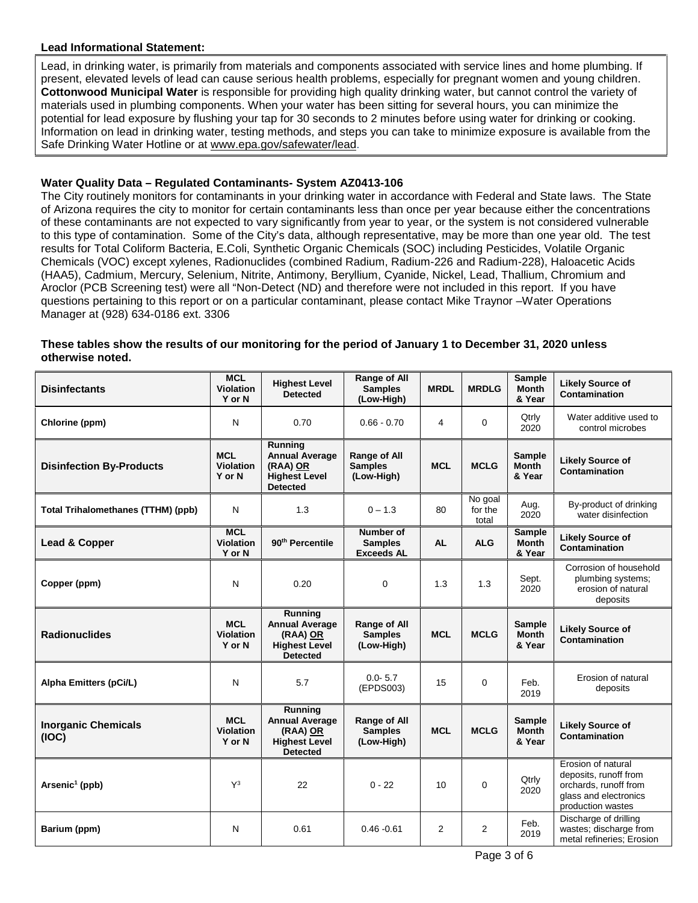## **Lead Informational Statement:**

Lead, in drinking water, is primarily from materials and components associated with service lines and home plumbing. If present, elevated levels of lead can cause serious health problems, especially for pregnant women and young children. **Cottonwood Municipal Water** is responsible for providing high quality drinking water, but cannot control the variety of materials used in plumbing components. When your water has been sitting for several hours, you can minimize the potential for lead exposure by flushing your tap for 30 seconds to 2 minutes before using water for drinking or cooking. Information on lead in drinking water, testing methods, and steps you can take to minimize exposure is available from the Safe Drinking Water Hotline or at [www.epa.gov/safewater/lead.](http://www.epa.gov/safewater/lead)

#### **Water Quality Data – Regulated Contaminants- System AZ0413-106**

The City routinely monitors for contaminants in your drinking water in accordance with Federal and State laws. The State of Arizona requires the city to monitor for certain contaminants less than once per year because either the concentrations of these contaminants are not expected to vary significantly from year to year, or the system is not considered vulnerable to this type of contamination. Some of the City's data, although representative, may be more than one year old. The test results for Total Coliform Bacteria, E.Coli, Synthetic Organic Chemicals (SOC) including Pesticides, Volatile Organic Chemicals (VOC) except xylenes, Radionuclides (combined Radium, Radium-226 and Radium-228), Haloacetic Acids (HAA5), Cadmium, Mercury, Selenium, Nitrite, Antimony, Beryllium, Cyanide, Nickel, Lead, Thallium, Chromium and Aroclor (PCB Screening test) were all "Non-Detect (ND) and therefore were not included in this report. If you have questions pertaining to this report or on a particular contaminant, please contact Mike Traynor –Water Operations Manager at (928) 634-0186 ext. 3306

#### **These tables show the results of our monitoring for the period of January 1 to December 31, 2020 unless otherwise noted.**

| <b>Disinfectants</b>                | <b>MCL</b><br><b>Violation</b><br>Y or N | <b>Highest Level</b><br><b>Detected</b>                                                 | Range of All<br><b>Samples</b><br>(Low-High)            | <b>MRDL</b>    | <b>MRDLG</b>                | <b>Sample</b><br><b>Month</b><br>& Year | <b>Likely Source of</b><br><b>Contamination</b>                                                                    |
|-------------------------------------|------------------------------------------|-----------------------------------------------------------------------------------------|---------------------------------------------------------|----------------|-----------------------------|-----------------------------------------|--------------------------------------------------------------------------------------------------------------------|
| Chlorine (ppm)                      | N                                        | 0.70                                                                                    | $0.66 - 0.70$                                           | 4              | $\Omega$                    | Qtrly<br>2020                           | Water additive used to<br>control microbes                                                                         |
| <b>Disinfection By-Products</b>     | <b>MCL</b><br><b>Violation</b><br>Y or N | Running<br><b>Annual Average</b><br>(RAA) OR<br><b>Highest Level</b><br><b>Detected</b> | <b>Range of All</b><br><b>Samples</b><br>(Low-High)     | <b>MCL</b>     | <b>MCLG</b>                 | <b>Sample</b><br><b>Month</b><br>& Year | <b>Likely Source of</b><br>Contamination                                                                           |
| Total Trihalomethanes (TTHM) (ppb)  | N                                        | 1.3                                                                                     | $0 - 1.3$                                               | 80             | No goal<br>for the<br>total | Aug.<br>2020                            | By-product of drinking<br>water disinfection                                                                       |
| Lead & Copper                       | <b>MCL</b><br><b>Violation</b><br>Y or N | 90 <sup>th</sup> Percentile                                                             | <b>Number of</b><br><b>Samples</b><br><b>Exceeds AL</b> | <b>AL</b>      | <b>ALG</b>                  | <b>Sample</b><br><b>Month</b><br>& Year | <b>Likely Source of</b><br><b>Contamination</b>                                                                    |
| Copper (ppm)                        | N                                        | 0.20                                                                                    | $\Omega$                                                | 1.3            | 1.3                         | Sept.<br>2020                           | Corrosion of household<br>plumbing systems;<br>erosion of natural<br>deposits                                      |
| <b>Radionuclides</b>                | <b>MCL</b><br><b>Violation</b><br>Y or N | Running<br><b>Annual Average</b><br>(RAA) OR<br><b>Highest Level</b><br><b>Detected</b> | Range of All<br><b>Samples</b><br>(Low-High)            | <b>MCL</b>     | <b>MCLG</b>                 | <b>Sample</b><br><b>Month</b><br>& Year | <b>Likely Source of</b><br>Contamination                                                                           |
| Alpha Emitters (pCi/L)              | N                                        | 5.7                                                                                     | $0.0 - 5.7$<br>(EPDS003)                                | 15             | $\Omega$                    | Feb.<br>2019                            | Erosion of natural<br>deposits                                                                                     |
| <b>Inorganic Chemicals</b><br>(IOC) | <b>MCL</b><br><b>Violation</b><br>Y or N | Running<br><b>Annual Average</b><br>(RAA) OR<br><b>Highest Level</b><br><b>Detected</b> | <b>Range of All</b><br><b>Samples</b><br>(Low-High)     | <b>MCL</b>     | <b>MCLG</b>                 | <b>Sample</b><br><b>Month</b><br>& Year | <b>Likely Source of</b><br>Contamination                                                                           |
| Arsenic <sup>1</sup> (ppb)          | $Y^3$                                    | 22                                                                                      | $0 - 22$                                                | 10             | $\mathbf 0$                 | Qtrly<br>2020                           | Erosion of natural<br>deposits, runoff from<br>orchards, runoff from<br>glass and electronics<br>production wastes |
| Barium (ppm)                        | N                                        | 0.61                                                                                    | $0.46 - 0.61$                                           | $\overline{2}$ | $\overline{2}$              | Feb.<br>2019                            | Discharge of drilling<br>wastes; discharge from<br>metal refineries; Erosion                                       |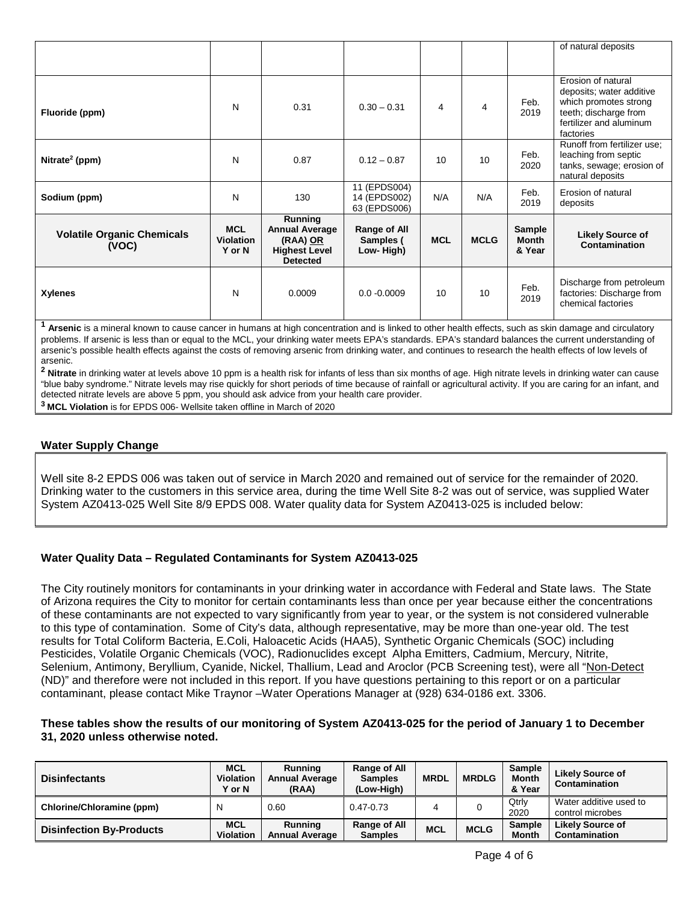|                                            |                                          |                                                                                                |                                              |            |                |                                  | of natural deposits                                                                                                                      |
|--------------------------------------------|------------------------------------------|------------------------------------------------------------------------------------------------|----------------------------------------------|------------|----------------|----------------------------------|------------------------------------------------------------------------------------------------------------------------------------------|
| Fluoride (ppm)                             | N                                        | 0.31                                                                                           | $0.30 - 0.31$                                | 4          | $\overline{4}$ | Feb.<br>2019                     | Erosion of natural<br>deposits; water additive<br>which promotes strong<br>teeth; discharge from<br>fertilizer and aluminum<br>factories |
| Nitrate <sup>2</sup> (ppm)                 | N                                        | 0.87                                                                                           | $0.12 - 0.87$                                | 10         | 10             | Feb.<br>2020                     | Runoff from fertilizer use:<br>leaching from septic<br>tanks, sewage; erosion of<br>natural deposits                                     |
| Sodium (ppm)                               | N                                        | 130                                                                                            | 11 (EPDS004)<br>14 (EPDS002)<br>63 (EPDS006) | N/A        | N/A            | Feb.<br>2019                     | Erosion of natural<br>deposits                                                                                                           |
| <b>Volatile Organic Chemicals</b><br>(VOC) | <b>MCL</b><br><b>Violation</b><br>Y or N | <b>Running</b><br><b>Annual Average</b><br>(RAA) OR<br><b>Highest Level</b><br><b>Detected</b> | Range of All<br>Samples (<br>Low-High)       | <b>MCL</b> | <b>MCLG</b>    | Sample<br><b>Month</b><br>& Year | <b>Likely Source of</b><br>Contamination                                                                                                 |
| <b>Xylenes</b>                             | N                                        | 0.0009                                                                                         | $0.0 - 0.0009$                               | 10         | 10             | Feb.<br>2019                     | Discharge from petroleum<br>factories: Discharge from<br>chemical factories                                                              |

**<sup>1</sup> Arsenic** is a mineral known to cause cancer in humans at high concentration and is linked to other health effects, such as skin damage and circulatory problems. If arsenic is less than or equal to the MCL, your drinking water meets EPA's standards. EPA's standard balances the current understanding of arsenic's possible health effects against the costs of removing arsenic from drinking water, and continues to research the health effects of low levels of arsenic.

<sup>2</sup> Nitrate in drinking water at levels above 10 ppm is a health risk for infants of less than six months of age. High nitrate levels in drinking water can cause "blue baby syndrome." Nitrate levels may rise quickly for short periods of time because of rainfall or agricultural activity. If you are caring for an infant, and detected nitrate levels are above 5 ppm, you should ask advice from your health care provider. **3 MCL Violation** is for EPDS 006- Wellsite taken offline in March of 2020

# **Water Supply Change**

Well site 8-2 EPDS 006 was taken out of service in March 2020 and remained out of service for the remainder of 2020. Drinking water to the customers in this service area, during the time Well Site 8-2 was out of service, was supplied Water System AZ0413-025 Well Site 8/9 EPDS 008. Water quality data for System AZ0413-025 is included below:

# **Water Quality Data – Regulated Contaminants for System AZ0413-025**

The City routinely monitors for contaminants in your drinking water in accordance with Federal and State laws. The State of Arizona requires the City to monitor for certain contaminants less than once per year because either the concentrations of these contaminants are not expected to vary significantly from year to year, or the system is not considered vulnerable to this type of contamination. Some of City's data, although representative, may be more than one-year old. The test results for Total Coliform Bacteria, E.Coli, Haloacetic Acids (HAA5), Synthetic Organic Chemicals (SOC) including Pesticides, Volatile Organic Chemicals (VOC), Radionuclides except Alpha Emitters, Cadmium, Mercury, Nitrite, Selenium, Antimony, Beryllium, Cyanide, Nickel, Thallium, Lead and Aroclor (PCB Screening test), were all "Non-Detect (ND)" and therefore were not included in this report. If you have questions pertaining to this report or on a particular contaminant, please contact Mike Traynor –Water Operations Manager at (928) 634-0186 ext. 3306.

#### **These tables show the results of our monitoring of System AZ0413-025 for the period of January 1 to December 31, 2020 unless otherwise noted.**

| <b>Disinfectants</b>            | <b>MCL</b><br><b>Violation</b><br><b>Y</b> or N | <b>Running</b><br><b>Annual Average</b><br>(RAA) | Range of All<br><b>Samples</b><br>(Low-High) | <b>MRDL</b> | <b>MRDLG</b> | Sample<br>Month<br>& Year | <b>Likely Source of</b><br>Contamination   |
|---------------------------------|-------------------------------------------------|--------------------------------------------------|----------------------------------------------|-------------|--------------|---------------------------|--------------------------------------------|
| Chlorine/Chloramine (ppm)       | N                                               | 0.60                                             | $0.47 - 0.73$                                |             |              | Qtrly<br>2020             | Water additive used to<br>control microbes |
| <b>Disinfection By-Products</b> | <b>MCL</b><br><b>Violation</b>                  | <b>Running</b><br><b>Annual Average</b>          | Range of All<br><b>Samples</b>               | <b>MCL</b>  | <b>MCLG</b>  | Sample<br>Month           | <b>Likely Source of</b><br>Contamination   |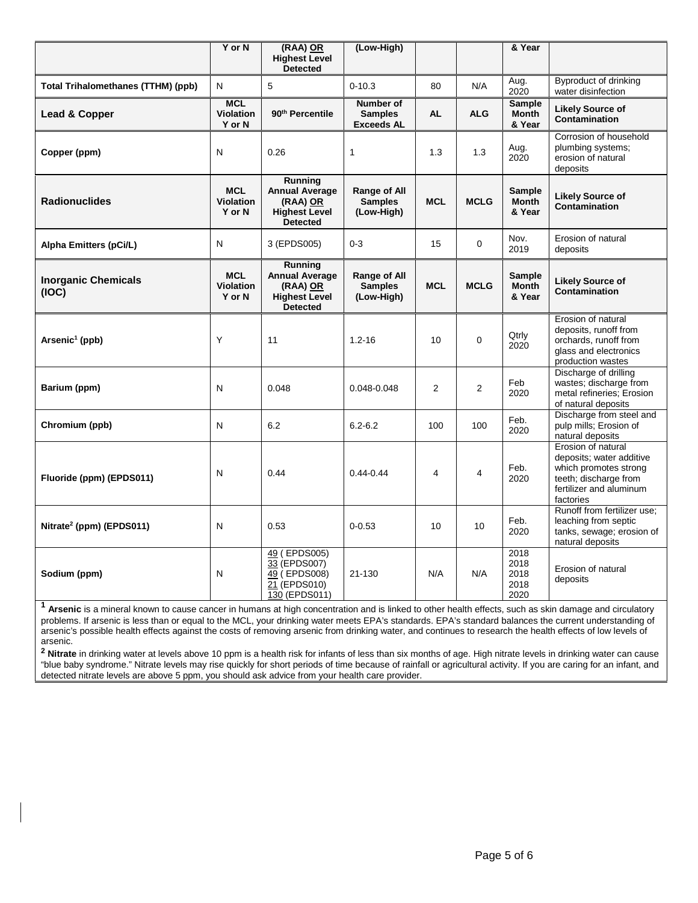|                                           | Y or N                                   | (RAA) OR<br><b>Highest Level</b><br><b>Detected</b>                                     | (Low-High)                                       |                |             | & Year                                  |                                                                                                                                          |
|-------------------------------------------|------------------------------------------|-----------------------------------------------------------------------------------------|--------------------------------------------------|----------------|-------------|-----------------------------------------|------------------------------------------------------------------------------------------------------------------------------------------|
| <b>Total Trihalomethanes (TTHM) (ppb)</b> | N                                        | 5                                                                                       | $0 - 10.3$                                       | 80             | N/A         | Aug.<br>2020                            | Byproduct of drinking<br>water disinfection                                                                                              |
| <b>Lead &amp; Copper</b>                  | <b>MCL</b><br><b>Violation</b><br>Y or N | 90 <sup>th</sup> Percentile                                                             | Number of<br><b>Samples</b><br><b>Exceeds AL</b> | <b>AL</b>      | <b>ALG</b>  | <b>Sample</b><br><b>Month</b><br>& Year | <b>Likely Source of</b><br>Contamination                                                                                                 |
| Copper (ppm)                              | N                                        | 0.26                                                                                    | 1                                                | 1.3            | 1.3         | Aug.<br>2020                            | Corrosion of household<br>plumbing systems;<br>erosion of natural<br>deposits                                                            |
| <b>Radionuclides</b>                      | <b>MCL</b><br><b>Violation</b><br>Y or N | Running<br><b>Annual Average</b><br>(RAA) OR<br><b>Highest Level</b><br><b>Detected</b> | Range of All<br><b>Samples</b><br>(Low-High)     | <b>MCL</b>     | <b>MCLG</b> | <b>Sample</b><br><b>Month</b><br>& Year | <b>Likely Source of</b><br>Contamination                                                                                                 |
| Alpha Emitters (pCi/L)                    | N                                        | 3 (EPDS005)                                                                             | $0 - 3$                                          | 15             | $\Omega$    | Nov.<br>2019                            | Erosion of natural<br>deposits                                                                                                           |
| <b>Inorganic Chemicals</b><br>(IOC)       | <b>MCL</b><br><b>Violation</b><br>Y or N | Running<br><b>Annual Average</b><br>(RAA) OR<br><b>Highest Level</b><br><b>Detected</b> | Range of All<br>Samples<br>(Low-High)            | <b>MCL</b>     | <b>MCLG</b> | <b>Sample</b><br><b>Month</b><br>& Year | <b>Likely Source of</b><br>Contamination                                                                                                 |
| Arsenic <sup>1</sup> (ppb)                | Y                                        | 11                                                                                      | $1.2 - 16$                                       | 10             | 0           | Qtrly<br>2020                           | Erosion of natural<br>deposits, runoff from<br>orchards, runoff from<br>glass and electronics<br>production wastes                       |
| Barium (ppm)                              | N                                        | 0.048                                                                                   | 0.048-0.048                                      | $\overline{2}$ | 2           | Feb<br>2020                             | Discharge of drilling<br>wastes; discharge from<br>metal refineries; Erosion<br>of natural deposits                                      |
| Chromium (ppb)                            | N                                        | 6.2                                                                                     | $6.2 - 6.2$                                      | 100            | 100         | Feb.<br>2020                            | Discharge from steel and<br>pulp mills; Erosion of<br>natural deposits                                                                   |
| Fluoride (ppm) (EPDS011)                  | N                                        | 0.44                                                                                    | $0.44 - 0.44$                                    | $\overline{4}$ | 4           | Feb.<br>2020                            | Erosion of natural<br>deposits; water additive<br>which promotes strong<br>teeth; discharge from<br>fertilizer and aluminum<br>factories |
| Nitrate <sup>2</sup> (ppm) (EPDS011)      | N                                        | 0.53                                                                                    | $0 - 0.53$                                       | 10             | 10          | Feb.<br>2020                            | Runoff from fertilizer use;<br>leaching from septic<br>tanks, sewage; erosion of<br>natural deposits                                     |
| Sodium (ppm)                              | N                                        | 49 (EPDS005)<br>33 (EPDS007)<br>49 (EPDS008)<br>21 (EPDS010)<br>130 (EPDS011)           | 21-130                                           | N/A            | N/A         | 2018<br>2018<br>2018<br>2018<br>2020    | Erosion of natural<br>deposits                                                                                                           |

**<sup>1</sup> Arsenic** is a mineral known to cause cancer in humans at high concentration and is linked to other health effects, such as skin damage and circulatory problems. If arsenic is less than or equal to the MCL, your drinking water meets EPA's standards. EPA's standard balances the current understanding of arsenic's possible health effects against the costs of removing arsenic from drinking water, and continues to research the health effects of low levels of arsenic.

<sup>2</sup> Nitrate in drinking water at levels above 10 ppm is a health risk for infants of less than six months of age. High nitrate levels in drinking water can cause "blue baby syndrome." Nitrate levels may rise quickly for short periods of time because of rainfall or agricultural activity. If you are caring for an infant, and detected nitrate levels are above 5 ppm, you should ask advice from your health care provider.